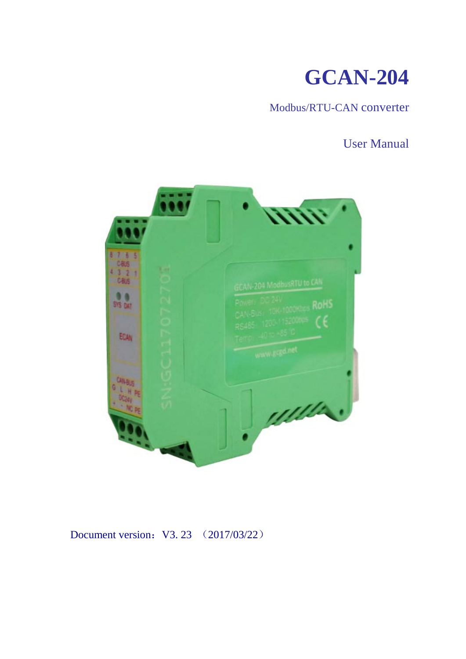# **GCAN-204**

### Modbus/RTU-CAN converter

### User Manual



### Document version: V3. 23 (2017/03/22)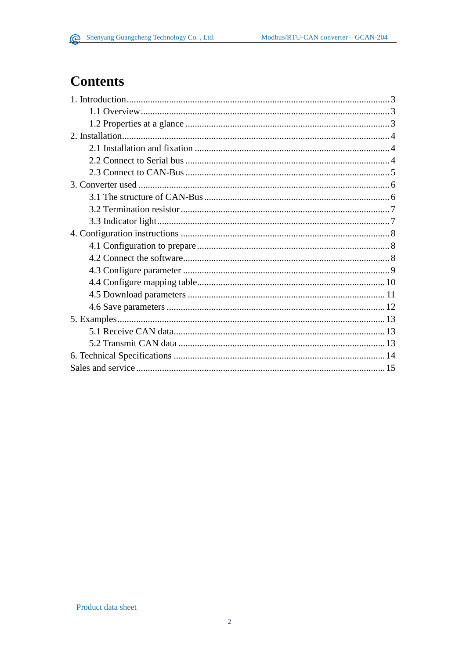# **Contents**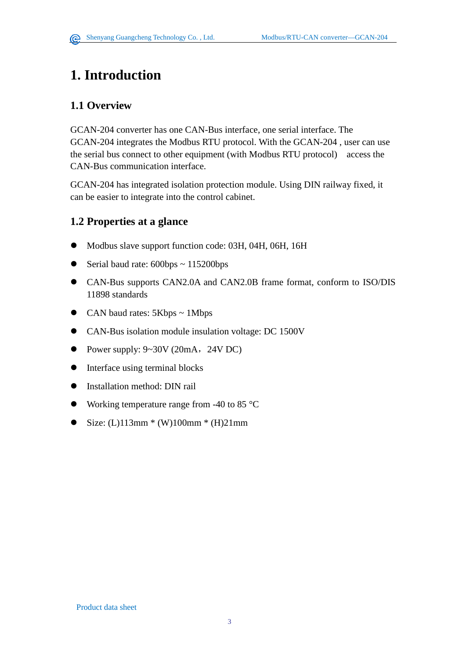### <span id="page-2-0"></span>**1. Introduction**

### <span id="page-2-1"></span>**1.1 Overview**

GCAN-204 converter has one CAN-Bus interface, one serial interface. The GCAN-204 integrates the Modbus RTU protocol. With the GCAN-204 , user can use the serial bus connect to other equipment (with Modbus RTU protocol) access the CAN-Bus communication interface.

GCAN-204 has integrated isolation protection module. Using DIN railway fixed, it can be easier to integrate into the control cabinet.

### <span id="page-2-2"></span>**1.2 Properties at a glance**

- Modbus slave support function code: 03H, 04H, 06H, 16H
- $\bullet$  Serial baud rate: 600bps ~ 115200bps
- CAN-Bus supports CAN2.0A and CAN2.0B frame format, conform to ISO/DIS 11898 standards
- $\bullet$  CAN baud rates: 5Kbps ~ 1Mbps
- CAN-Bus isolation module insulation voltage: DC 1500V
- Power supply:  $9~30V$  (20mA, 24V DC)
- Interface using terminal blocks
- Installation method: DIN rail
- Working temperature range from -40 to 85 °C
- Size: (L)113mm  $*(W)100$ mm  $*(H)21$ mm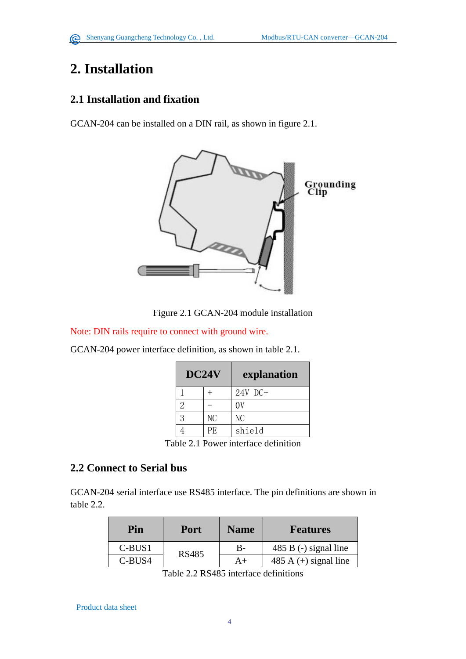### <span id="page-3-0"></span>**2. Installation**

### <span id="page-3-1"></span>**2.1 Installation and fixation**

GCAN-204 can be installed on a DIN rail, as shown in figure 2.1.



Figure 2.1 GCAN-204 module installation

Note: DIN rails require to connect with ground wire.

GCAN-204 power interface definition, as shown in table 2.1.

| DC <sub>24</sub> V |                | explanation    |
|--------------------|----------------|----------------|
|                    |                | $24V$ DC+      |
| $\overline{2}$     |                | OV             |
| 3                  | N <sub>C</sub> | N <sub>C</sub> |
|                    | PE             | shield         |

Table 2.1 Power interface definition

#### <span id="page-3-2"></span>**2.2 Connect to Serial bus**

GCAN-204 serial interface use RS485 interface. The pin definitions are shown in table 2.2.

| Pin    | <b>Port</b>  | <b>Name</b> | <b>Features</b>         |
|--------|--------------|-------------|-------------------------|
| C-BUS1 | <b>RS485</b> | В-          | $485 B(-)$ signal line  |
| C-BUS4 |              | $A+$        | 485 A $(+)$ signal line |

Table 2.2 RS485 interface definitions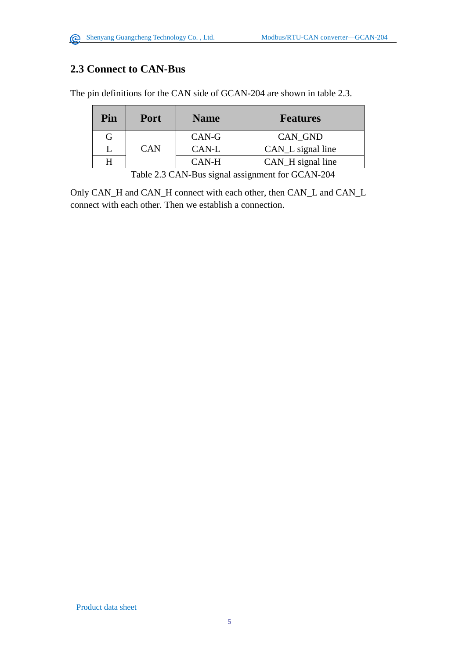### <span id="page-4-0"></span>**2.3 Connect to CAN-Bus**

The pin definitions for the CAN side of GCAN-204 are shown in table 2.3.

| Pin | <b>Port</b> | <b>Name</b> | <b>Features</b>   |
|-----|-------------|-------------|-------------------|
|     |             | $CAN-G$     | CAN GND           |
|     | <b>CAN</b>  | CAN-L       | CAN_L signal line |
|     |             | CAN-H       | CAN_H signal line |

Table 2.3 CAN-Bus signal assignment for GCAN-204

Only CAN\_H and CAN\_H connect with each other, then CAN\_L and CAN\_L connect with each other. Then we establish a connection.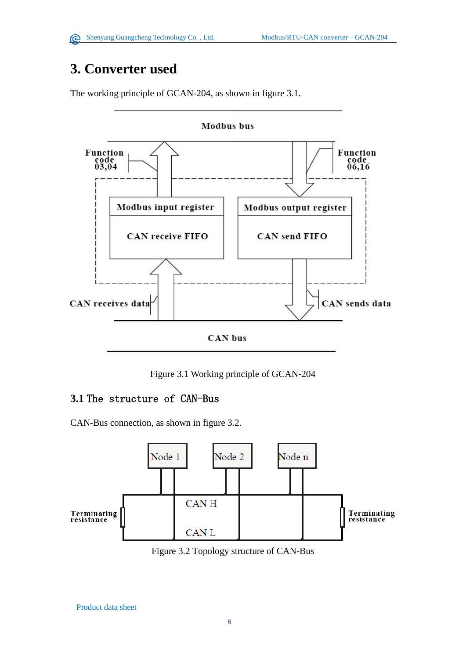# <span id="page-5-0"></span>**3. Converter used**



The working principle of GCAN-204, as shown in figure 3.1.

Figure 3.1 Working principle of GCAN-204

### <span id="page-5-1"></span>**3.1** The structure of CAN-Bus

CAN-Bus connection, as shown in figure 3.2.



Figure 3.2 Topology structure of CAN-Bus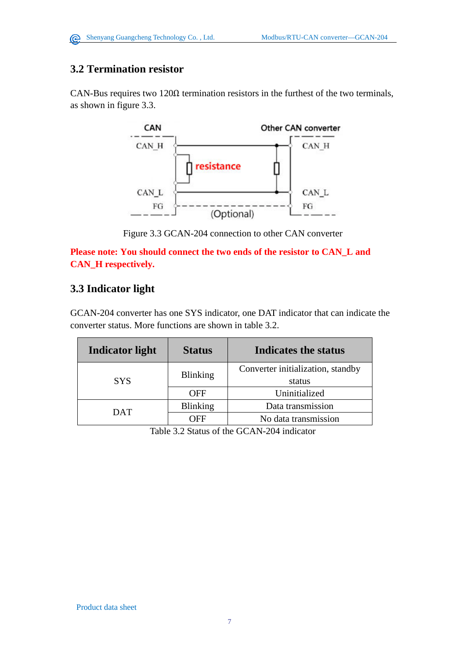### <span id="page-6-0"></span>**3.2 Termination resistor**

CAN-Bus requires two  $120\Omega$  termination resistors in the furthest of the two terminals, as shown in figure 3.3.



Figure 3.3 GCAN-204 connection to other CAN converter

**Please note: You should connect the two ends of the resistor to CAN\_L and CAN\_H respectively.** 

### <span id="page-6-1"></span>**3.3 Indicator light**

GCAN-204 converter has one SYS indicator, one DAT indicator that can indicate the converter status. More functions are shown in table 3.2.

| <b>Indicator light</b> | <b>Status</b>   | Indicates the status              |  |  |
|------------------------|-----------------|-----------------------------------|--|--|
|                        | <b>Blinking</b> | Converter initialization, standby |  |  |
| <b>SYS</b>             |                 | status                            |  |  |
|                        | OFF             | Uninitialized                     |  |  |
| DAT                    | <b>Blinking</b> | Data transmission                 |  |  |
|                        | OFF             | No data transmission              |  |  |

Table 3.2 Status of the GCAN-204 indicator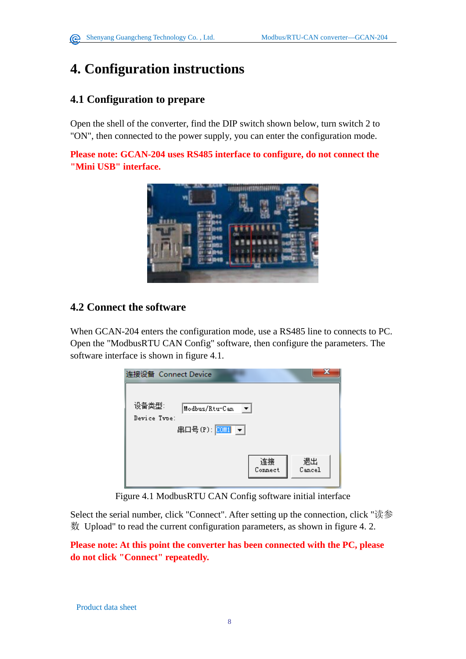### <span id="page-7-0"></span>**4. Configuration instructions**

### <span id="page-7-1"></span>**4.1 Configuration to prepare**

Open the shell of the converter, find the DIP switch shown below, turn switch 2 to "ON", then connected to the power supply, you can enter the configuration mode.

**Please note: GCAN-204 uses RS485 interface to configure, do not connect the "Mini USB" interface.** 



### <span id="page-7-2"></span>**4.2 Connect the software**

When GCAN-204 enters the configuration mode, use a RS485 line to connects to PC. Open the "ModbusRTU CAN Config" software, then configure the parameters. The software interface is shown in figure 4.1.

| 连接设备 Connect Device                                           |              |
|---------------------------------------------------------------|--------------|
| 设备类型:<br>▾╎<br>Modbus/Rtu-Can<br>Device Type:<br>串ロ号(P) 000 - |              |
| 连接<br>Connect                                                 | 退出<br>Cancel |

Figure 4.1 ModbusRTU CAN Config software initial interface

Select the serial number, click "Connect". After setting up the connection, click "读参 数 Upload" to read the current configuration parameters, as shown in figure 4. 2.

**Please note: At this point the converter has been connected with the PC, please do not click "Connect" repeatedly.**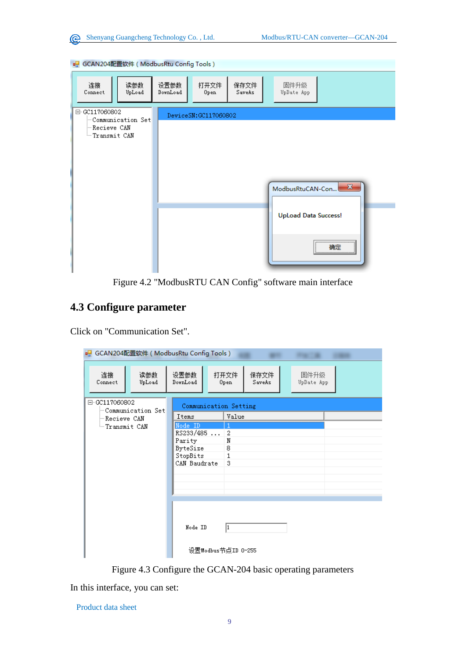| ■ GCAN204配置软件(ModbusRtu Config Tools)                                  |                                                                                                                |  |  |  |  |  |  |
|------------------------------------------------------------------------|----------------------------------------------------------------------------------------------------------------|--|--|--|--|--|--|
| 连接<br>读参数<br>UpLoad<br>Connect                                         | 设置参数<br>固件升级<br>打开文件<br>保存文件<br>DownLoad<br>SaveAs<br>Open<br>UpDate App                                       |  |  |  |  |  |  |
| 日·CC117060802<br>-Communication Set<br>- Recieve CAN<br>- Transmit CAN | DeviceSN:GC117060802<br>$\mathbf{x}$<br>ModbusRtuCAN-Con<br><b>UpLoad Data Success!</b><br><br>确定<br><u> :</u> |  |  |  |  |  |  |

Figure 4.2 "ModbusRTU CAN Config" software main interface

### <span id="page-8-0"></span>**4.3 Configure parameter**

Click on "Communication Set".

| a.             |                     | GCAN204配置软件 (ModbusRtu Config Tools) |              |                |                    |  |
|----------------|---------------------|--------------------------------------|--------------|----------------|--------------------|--|
| 连接<br>Connect  | 读参数<br>UpLoad       | 设置参数<br>DownLoad                     | 打开文件<br>Open | 保存文件<br>SaveAs | 固件升级<br>UpDate App |  |
| 日·GC117060802  | - Communication Set | Communication Setting                |              |                |                    |  |
| - Recieve CAN  |                     | Items                                | Value        |                |                    |  |
| - Transmit CAN |                     | Node ID                              | 1            |                |                    |  |
|                |                     | RS233/485                            | 2            |                |                    |  |
|                |                     | Parity                               | N            |                |                    |  |
|                |                     | ByteSize                             | 8            |                |                    |  |
|                |                     | StopBits                             | 1            |                |                    |  |
|                |                     | CAN Baudrate                         | 3            |                |                    |  |
|                |                     |                                      |              |                |                    |  |
|                |                     |                                      |              |                |                    |  |
|                |                     |                                      |              |                |                    |  |
|                |                     |                                      |              |                |                    |  |
|                |                     |                                      |              |                |                    |  |
|                |                     |                                      |              |                |                    |  |
|                |                     | Node ID                              | 1            |                |                    |  |
|                |                     |                                      |              |                |                    |  |
|                |                     |                                      |              |                |                    |  |
|                |                     | 设置Modbus节点ID 0-255                   |              |                |                    |  |

Figure 4.3 Configure the GCAN-204 basic operating parameters

In this interface, you can set: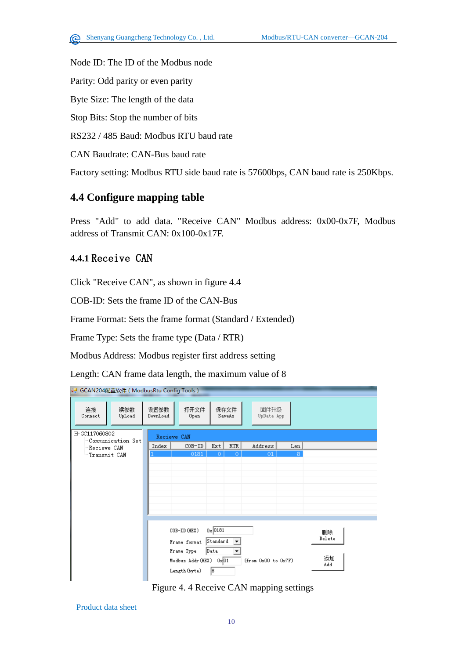Node ID: The ID of the Modbus node Parity: Odd parity or even parity Byte Size: The length of the data Stop Bits: Stop the number of bits RS232 / 485 Baud: Modbus RTU baud rate CAN Baudrate: CAN-Bus baud rate Factory setting: Modbus RTU side baud rate is 57600bps, CAN baud rate is 250Kbps.

### <span id="page-9-0"></span>**4.4 Configure mapping table**

Press "Add" to add data. "Receive CAN" Modbus address: 0x00-0x7F, Modbus address of Transmit CAN: 0x100-0x17F.

#### **4.4.1** Receive CAN

Click "Receive CAN", as shown in figure 4.4

COB-ID: Sets the frame ID of the CAN-Bus

Frame Format: Sets the frame format (Standard / Extended)

Frame Type: Sets the frame type (Data / RTR)

Modbus Address: Modbus register first address setting

Length: CAN frame data length, the maximum value of 8

|                | □ GCAN204配置软件 (ModbusRtu Config Tools) |                  |                                                  |                       |                |                     |     |              |  |
|----------------|----------------------------------------|------------------|--------------------------------------------------|-----------------------|----------------|---------------------|-----|--------------|--|
| 连接<br>Connect  | 读参数<br>UpLoad                          | 设置参数<br>DownLoad | 打开文件<br>Open                                     |                       | 保存文件<br>SaveAs | 固件升级<br>UpDate App  |     |              |  |
| 日·CC117060802  |                                        | Recieve CAN      |                                                  |                       |                |                     |     |              |  |
| - Recieve CAN  | - Communication Set                    | Index            | $COB-ID$                                         | Ext                   | <b>RTR</b>     | Address             | Len |              |  |
| - Transmit CAN |                                        |                  | 0181                                             | 0                     | O              | 01                  | 8.  |              |  |
|                |                                        |                  |                                                  |                       |                |                     |     |              |  |
|                |                                        |                  |                                                  |                       |                |                     |     |              |  |
|                |                                        |                  |                                                  |                       |                |                     |     |              |  |
|                |                                        |                  |                                                  |                       |                |                     |     |              |  |
|                |                                        |                  |                                                  |                       |                |                     |     |              |  |
|                |                                        |                  |                                                  |                       |                |                     |     |              |  |
|                |                                        |                  |                                                  |                       |                |                     |     |              |  |
|                |                                        |                  | COB-ID (HEX)<br>Frame format                     | $0x$ 0181<br>Standard |                |                     |     | 删除<br>Delete |  |
|                |                                        |                  | Frame Type<br>Modbus Addr (HEX)<br>Length (byte) | Data<br>0x 01<br>18   |                | (from 0x00 to 0x7F) |     | 添加<br>Add    |  |

Figure 4. 4 Receive CAN mapping settings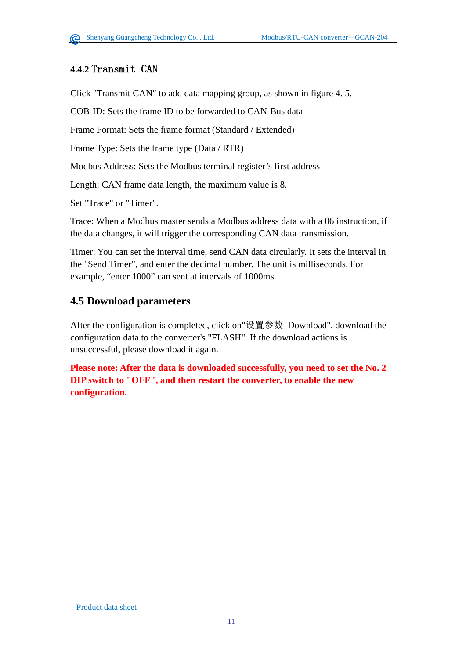### **4.4.2** Transmit CAN

Click "Transmit CAN" to add data mapping group, as shown in figure 4. 5.

COB-ID: Sets the frame ID to be forwarded to CAN-Bus data

Frame Format: Sets the frame format (Standard / Extended)

Frame Type: Sets the frame type (Data / RTR)

Modbus Address: Sets the Modbus terminal register's first address

Length: CAN frame data length, the maximum value is 8.

Set "Trace" or "Timer".

Trace: When a Modbus master sends a Modbus address data with a 06 instruction, if the data changes, it will trigger the corresponding CAN data transmission.

Timer: You can set the interval time, send CAN data circularly. It sets the interval in the "Send Timer", and enter the decimal number. The unit is milliseconds. For example, "enter 1000" can sent at intervals of 1000ms.

### <span id="page-10-0"></span>**4.5 Download parameters**

After the configuration is completed, click on"设置参数 Download", download the configuration data to the converter's "FLASH". If the download actions is unsuccessful, please download it again.

**Please note: After the data is downloaded successfully, you need to set the No. 2 DIP switch to "OFF", and then restart the converter, to enable the new configuration.**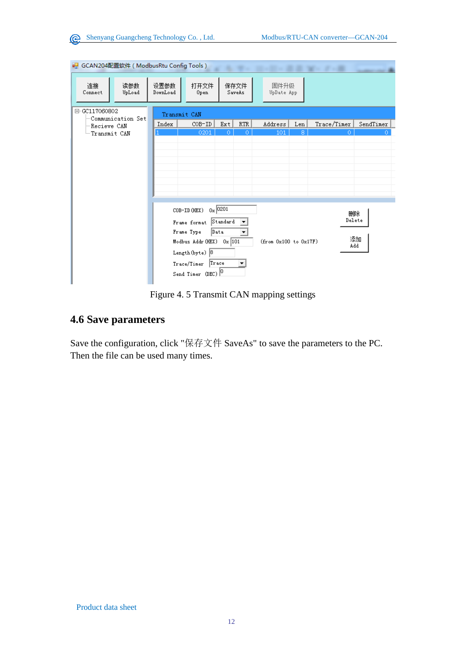| ■ GCAN204配置软件 (ModbusRtu Config Tools) |               |                  |                                                                                                                                               |                            |                |                       |     |             |                           |
|----------------------------------------|---------------|------------------|-----------------------------------------------------------------------------------------------------------------------------------------------|----------------------------|----------------|-----------------------|-----|-------------|---------------------------|
| 连接<br>Connect                          | 读参数<br>UpLoad | 设置参数<br>DownLoad | 打开文件<br>Open                                                                                                                                  |                            | 保存文件<br>SaveAs | 固件升级<br>UpDate App    |     |             |                           |
| 日·CC117060802                          |               | Transmit CAN     |                                                                                                                                               |                            |                |                       |     |             |                           |
| - Communication Set<br>- Recieve CAN   |               | Index            | COB-ID                                                                                                                                        | Ext                        | RTR            | Address               | Len | Trace/Timer | SendTimer                 |
| - Transmit CAN                         |               |                  | 0201                                                                                                                                          | $\circ$                    | 0              | 101                   | 8   | 0           | 0                         |
|                                        |               |                  |                                                                                                                                               |                            |                |                       |     |             |                           |
|                                        |               |                  |                                                                                                                                               |                            |                |                       |     |             |                           |
|                                        |               |                  |                                                                                                                                               |                            |                |                       |     |             |                           |
|                                        |               |                  |                                                                                                                                               |                            |                |                       |     |             |                           |
|                                        |               |                  |                                                                                                                                               |                            |                |                       |     |             |                           |
|                                        |               |                  | COB-ID (HEX)<br>Frame format Standard<br>Frame Type<br>Modbus Addr (HEX) Ox 101<br>Length (byte) 8<br>Trace/Timer<br>Send Timer $(DEC)$ $ 0 $ | $0x$ 0201<br>Data<br>Trace |                | (from 0x100 to 0x17F) |     |             | 删除<br>Delete<br>添加<br>Add |

Figure 4. 5 Transmit CAN mapping settings

#### <span id="page-11-0"></span>**4.6 Save parameters**

Save the configuration, click "保存文件 SaveAs" to save the parameters to the PC. Then the file can be used many times.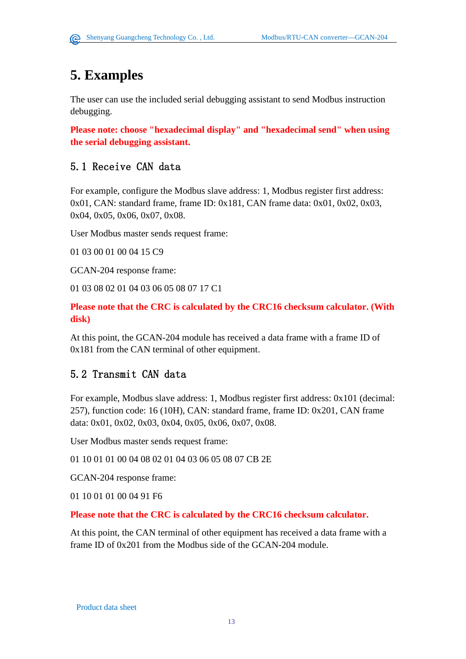### <span id="page-12-0"></span>**5. Examples**

The user can use the included serial debugging assistant to send Modbus instruction debugging.

**Please note: choose "hexadecimal display" and "hexadecimal send" when using the serial debugging assistant.** 

### <span id="page-12-1"></span>5.1 Receive CAN data

For example, configure the Modbus slave address: 1, Modbus register first address: 0x01, CAN: standard frame, frame ID: 0x181, CAN frame data: 0x01, 0x02, 0x03, 0x04, 0x05, 0x06, 0x07, 0x08.

User Modbus master sends request frame:

01 03 00 01 00 04 15 C9

GCAN-204 response frame:

01 03 08 02 01 04 03 06 05 08 07 17 C1

**Please note that the CRC is calculated by the CRC16 checksum calculator. (With disk)**

At this point, the GCAN-204 module has received a data frame with a frame ID of 0x181 from the CAN terminal of other equipment.

#### <span id="page-12-2"></span>5.2 Transmit CAN data

For example, Modbus slave address: 1, Modbus register first address: 0x101 (decimal: 257), function code: 16 (10H), CAN: standard frame, frame ID: 0x201, CAN frame data: 0x01, 0x02, 0x03, 0x04, 0x05, 0x06, 0x07, 0x08.

User Modbus master sends request frame:

01 10 01 01 00 04 08 02 01 04 03 06 05 08 07 CB 2E

GCAN-204 response frame:

01 10 01 01 00 04 91 F6

**Please note that the CRC is calculated by the CRC16 checksum calculator.** 

At this point, the CAN terminal of other equipment has received a data frame with a frame ID of 0x201 from the Modbus side of the GCAN-204 module.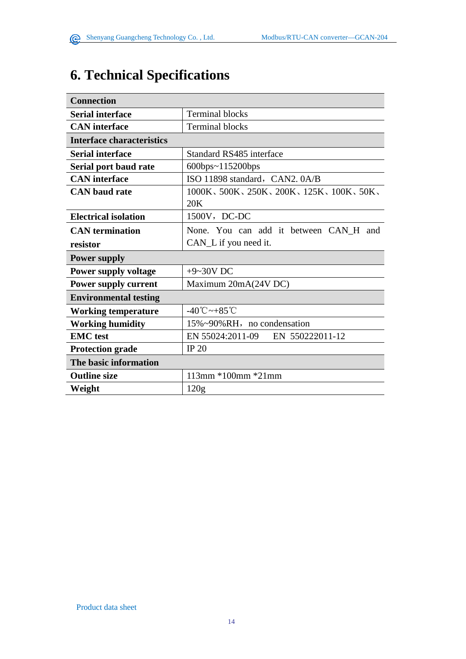# <span id="page-13-0"></span>**6. Technical Specifications**

| <b>Connection</b>                |                                                      |  |  |  |  |
|----------------------------------|------------------------------------------------------|--|--|--|--|
| <b>Serial interface</b>          | <b>Terminal blocks</b>                               |  |  |  |  |
| <b>CAN</b> interface             | <b>Terminal blocks</b>                               |  |  |  |  |
| <b>Interface characteristics</b> |                                                      |  |  |  |  |
| <b>Serial interface</b>          | Standard RS485 interface                             |  |  |  |  |
| Serial port baud rate            | $600bps - 115200bps$                                 |  |  |  |  |
| <b>CAN</b> interface             | ISO 11898 standard, CAN2, 0A/B                       |  |  |  |  |
| <b>CAN</b> baud rate             | 1000K、500K、250K、200K、125K、100K、50K、                  |  |  |  |  |
|                                  | 20K                                                  |  |  |  |  |
| <b>Electrical isolation</b>      | 1500V, DC-DC                                         |  |  |  |  |
| <b>CAN</b> termination           | None. You can add it between CAN H and               |  |  |  |  |
| resistor                         | CAN_L if you need it.                                |  |  |  |  |
| <b>Power supply</b>              |                                                      |  |  |  |  |
| <b>Power supply voltage</b>      | $+9-30V$ DC                                          |  |  |  |  |
| <b>Power supply current</b>      | Maximum 20mA(24V DC)                                 |  |  |  |  |
| <b>Environmental testing</b>     |                                                      |  |  |  |  |
| <b>Working temperature</b>       | $-40^{\circ}\text{C}\rightarrow +85^{\circ}\text{C}$ |  |  |  |  |
| <b>Working humidity</b>          | 15%~90%RH, no condensation                           |  |  |  |  |
| <b>EMC</b> test                  | EN 55024:2011-09 EN 550222011-12                     |  |  |  |  |
| IP 20<br><b>Protection grade</b> |                                                      |  |  |  |  |
| The basic information            |                                                      |  |  |  |  |
| <b>Outline size</b>              | $113$ mm $*100$ mm $*21$ mm                          |  |  |  |  |
| Weight                           | 120g                                                 |  |  |  |  |